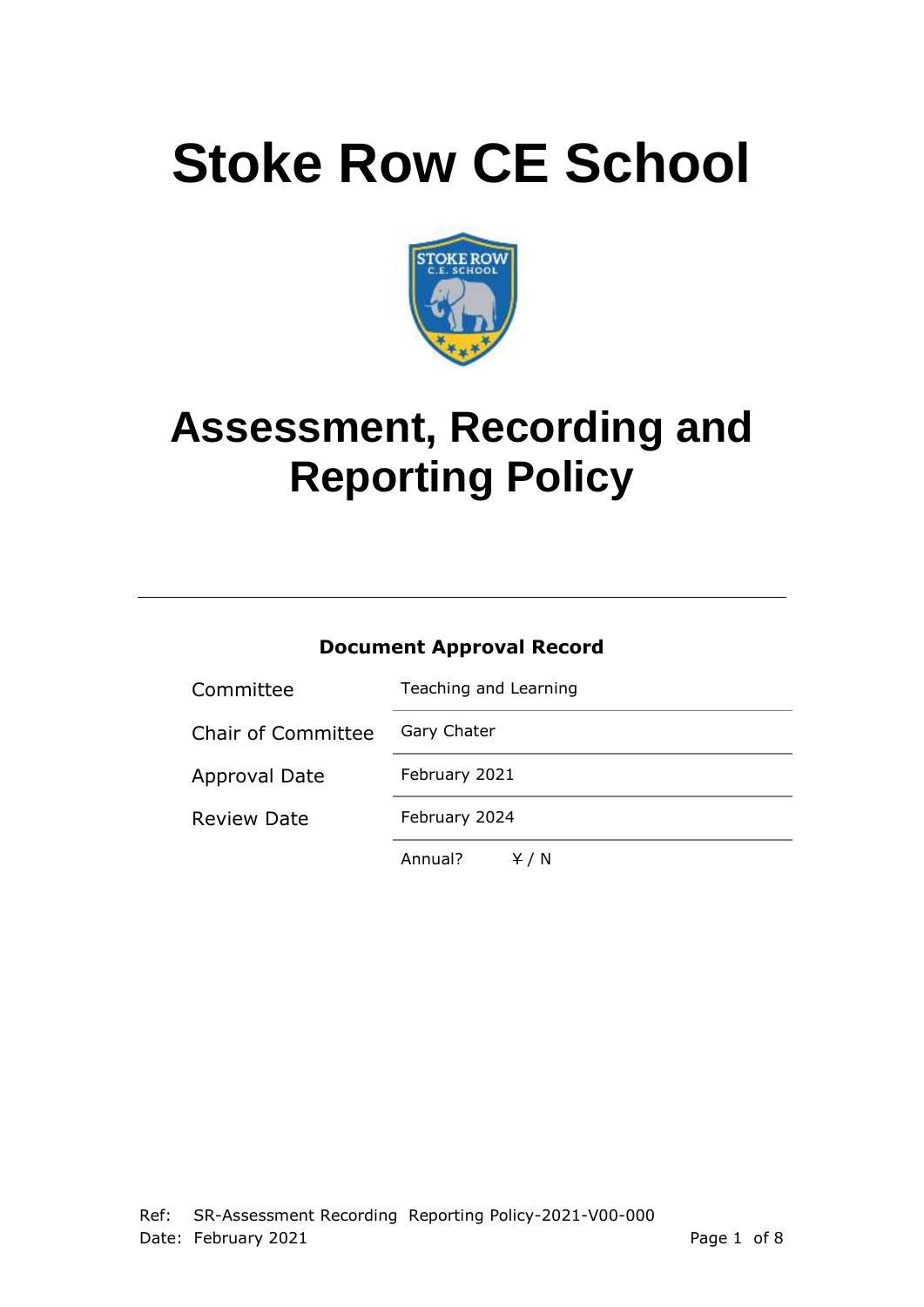# **Stoke Row CE School**



## **Assessment, Recording and Reporting Policy**

#### **Document Approval Record**

| Committee                 | Teaching and Learning |  |  |
|---------------------------|-----------------------|--|--|
| <b>Chair of Committee</b> | Gary Chater           |  |  |
| Approval Date             | February 2021         |  |  |
| <b>Review Date</b>        | February 2024         |  |  |
|                           | Annual?<br>Y/N        |  |  |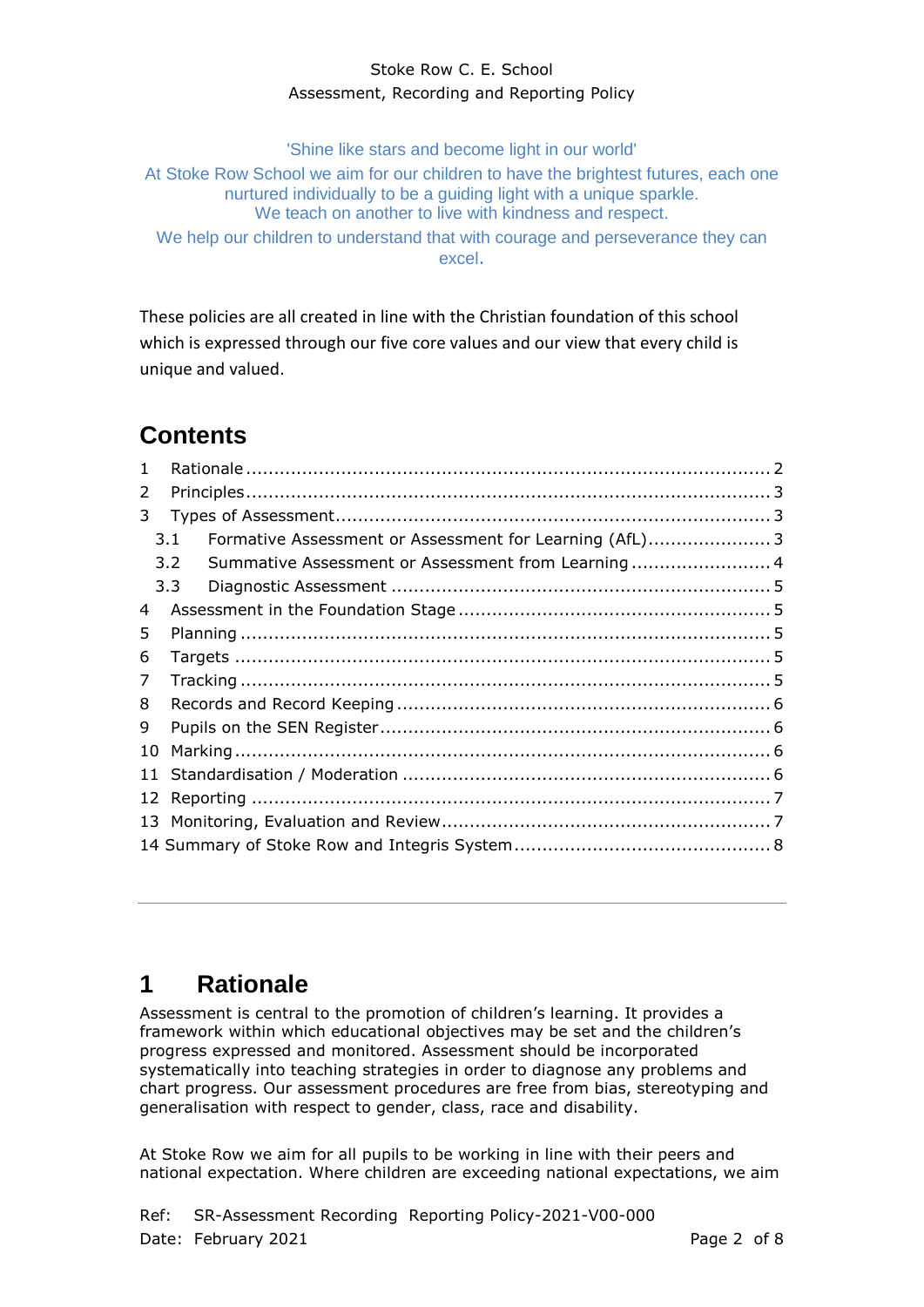'Shine like stars and become light in our world'

At Stoke Row School we aim for our children to have the brightest futures, each one nurtured individually to be a guiding light with a unique sparkle. We teach on another to live with kindness and respect.

We help our children to understand that with courage and perseverance they can excel.

These policies are all created in line with the Christian foundation of this school which is expressed through our five core values and our view that every child is unique and valued.

## **Contents**

| $\mathbf{1}$ |                                                                     |  |  |  |  |
|--------------|---------------------------------------------------------------------|--|--|--|--|
| 2            |                                                                     |  |  |  |  |
| 3            |                                                                     |  |  |  |  |
|              | Formative Assessment or Assessment for Learning (AfL) 3<br>3.1      |  |  |  |  |
|              | Summative Assessment or Assessment from Learning 4<br>$3.2^{\circ}$ |  |  |  |  |
|              | 3.3 <sup>2</sup>                                                    |  |  |  |  |
| 4            |                                                                     |  |  |  |  |
| 5            |                                                                     |  |  |  |  |
| 6            |                                                                     |  |  |  |  |
| 7            |                                                                     |  |  |  |  |
| 8            |                                                                     |  |  |  |  |
| 9            |                                                                     |  |  |  |  |
| 10           |                                                                     |  |  |  |  |
|              |                                                                     |  |  |  |  |
| 12           |                                                                     |  |  |  |  |
|              |                                                                     |  |  |  |  |
|              |                                                                     |  |  |  |  |

## <span id="page-1-0"></span>**1 Rationale**

Assessment is central to the promotion of children's learning. It provides a framework within which educational objectives may be set and the children's progress expressed and monitored. Assessment should be incorporated systematically into teaching strategies in order to diagnose any problems and chart progress. Our assessment procedures are free from bias, stereotyping and generalisation with respect to gender, class, race and disability.

At Stoke Row we aim for all pupils to be working in line with their peers and national expectation. Where children are exceeding national expectations, we aim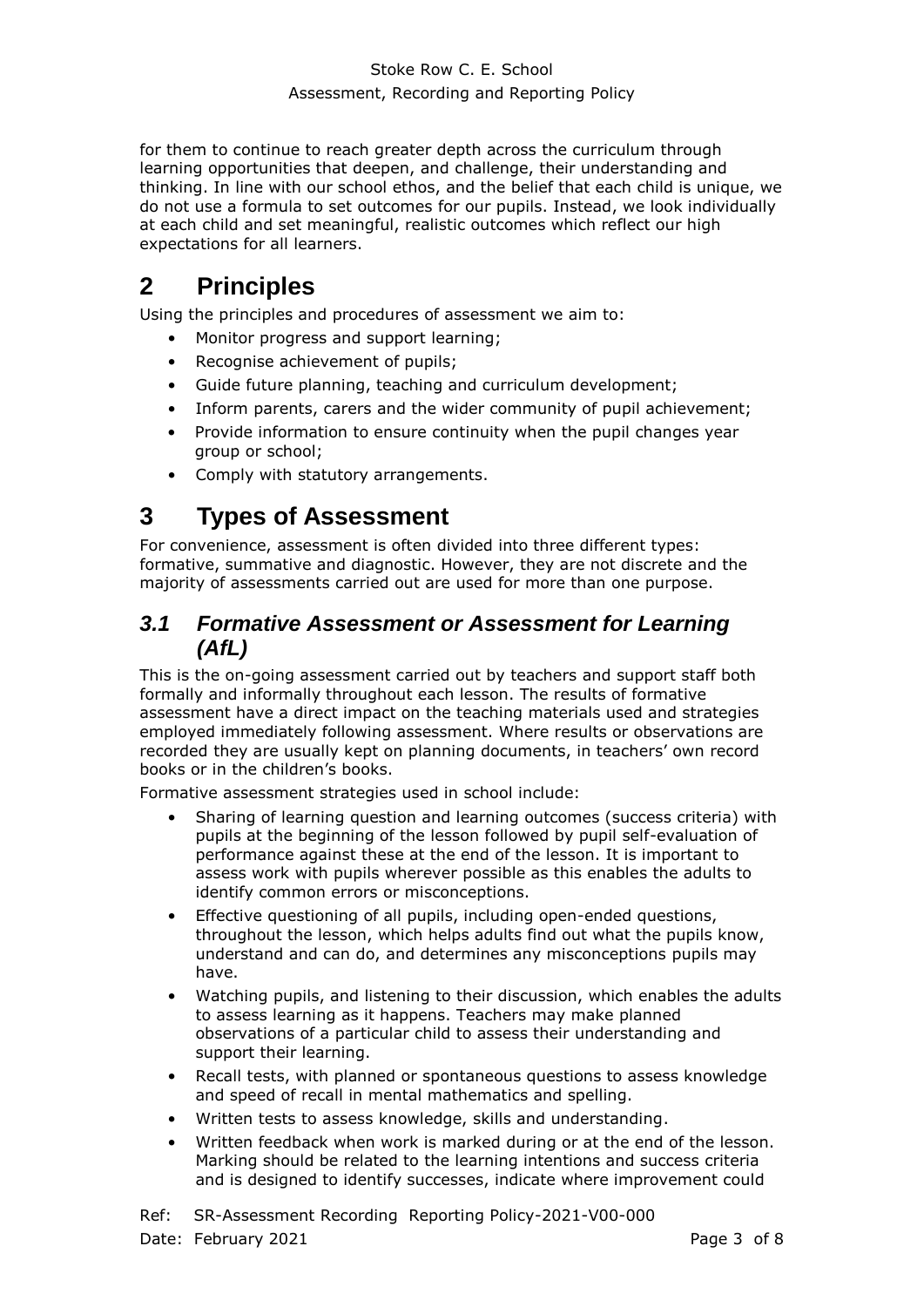for them to continue to reach greater depth across the curriculum through learning opportunities that deepen, and challenge, their understanding and thinking. In line with our school ethos, and the belief that each child is unique, we do not use a formula to set outcomes for our pupils. Instead, we look individually at each child and set meaningful, realistic outcomes which reflect our high expectations for all learners.

#### <span id="page-2-0"></span>**2 Principles**

Using the principles and procedures of assessment we aim to:

- Monitor progress and support learning;
- Recognise achievement of pupils;
- Guide future planning, teaching and curriculum development;
- Inform parents, carers and the wider community of pupil achievement;
- Provide information to ensure continuity when the pupil changes year group or school;
- Comply with statutory arrangements.

#### <span id="page-2-1"></span>**3 Types of Assessment**

For convenience, assessment is often divided into three different types: formative, summative and diagnostic. However, they are not discrete and the majority of assessments carried out are used for more than one purpose.

#### <span id="page-2-2"></span>*3.1 Formative Assessment or Assessment for Learning (AfL)*

This is the on-going assessment carried out by teachers and support staff both formally and informally throughout each lesson. The results of formative assessment have a direct impact on the teaching materials used and strategies employed immediately following assessment. Where results or observations are recorded they are usually kept on planning documents, in teachers' own record books or in the children's books.

Formative assessment strategies used in school include:

- Sharing of learning question and learning outcomes (success criteria) with pupils at the beginning of the lesson followed by pupil self-evaluation of performance against these at the end of the lesson. It is important to assess work with pupils wherever possible as this enables the adults to identify common errors or misconceptions.
- Effective questioning of all pupils, including open-ended questions, throughout the lesson, which helps adults find out what the pupils know, understand and can do, and determines any misconceptions pupils may have.
- Watching pupils, and listening to their discussion, which enables the adults to assess learning as it happens. Teachers may make planned observations of a particular child to assess their understanding and support their learning.
- Recall tests, with planned or spontaneous questions to assess knowledge and speed of recall in mental mathematics and spelling.
- Written tests to assess knowledge, skills and understanding.
- Written feedback when work is marked during or at the end of the lesson. Marking should be related to the learning intentions and success criteria and is designed to identify successes, indicate where improvement could

Ref: SR-Assessment Recording Reporting Policy-2021-V00-000 Date: February 2021 **Page 3 of 8**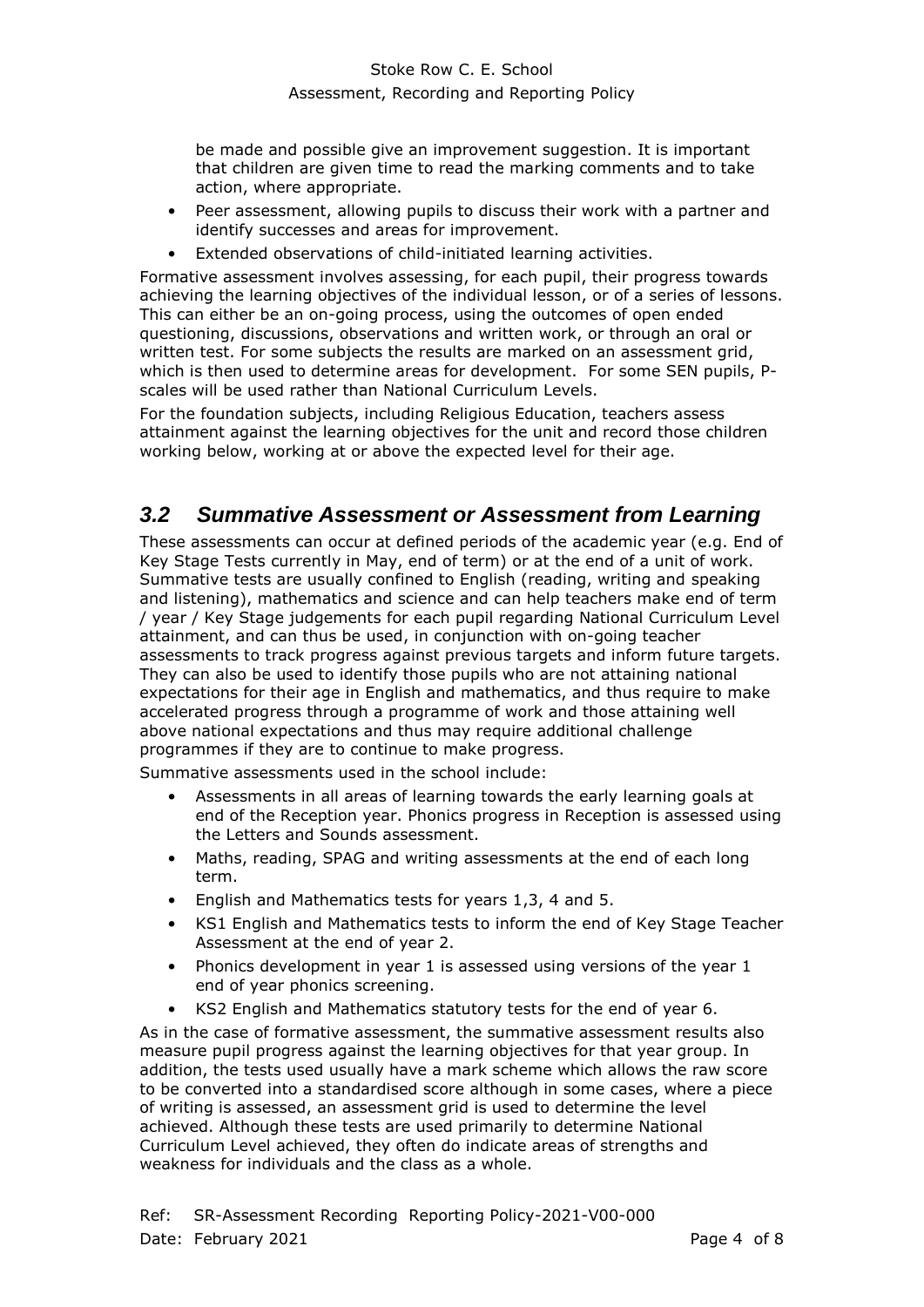be made and possible give an improvement suggestion. It is important that children are given time to read the marking comments and to take action, where appropriate.

- Peer assessment, allowing pupils to discuss their work with a partner and identify successes and areas for improvement.
- Extended observations of child-initiated learning activities.

Formative assessment involves assessing, for each pupil, their progress towards achieving the learning objectives of the individual lesson, or of a series of lessons. This can either be an on-going process, using the outcomes of open ended questioning, discussions, observations and written work, or through an oral or written test. For some subjects the results are marked on an assessment grid, which is then used to determine areas for development. For some SEN pupils, Pscales will be used rather than National Curriculum Levels.

<span id="page-3-0"></span>For the foundation subjects, including Religious Education, teachers assess attainment against the learning objectives for the unit and record those children working below, working at or above the expected level for their age.

#### *3.2 Summative Assessment or Assessment from Learning*

These assessments can occur at defined periods of the academic year (e.g. End of Key Stage Tests currently in May, end of term) or at the end of a unit of work. Summative tests are usually confined to English (reading, writing and speaking and listening), mathematics and science and can help teachers make end of term / year / Key Stage judgements for each pupil regarding National Curriculum Level attainment, and can thus be used, in conjunction with on-going teacher assessments to track progress against previous targets and inform future targets. They can also be used to identify those pupils who are not attaining national expectations for their age in English and mathematics, and thus require to make accelerated progress through a programme of work and those attaining well above national expectations and thus may require additional challenge programmes if they are to continue to make progress.

Summative assessments used in the school include:

- Assessments in all areas of learning towards the early learning goals at end of the Reception year. Phonics progress in Reception is assessed using the Letters and Sounds assessment.
- Maths, reading, SPAG and writing assessments at the end of each long term.
- English and Mathematics tests for years 1,3, 4 and 5.
- KS1 English and Mathematics tests to inform the end of Key Stage Teacher Assessment at the end of year 2.
- Phonics development in year 1 is assessed using versions of the year 1 end of year phonics screening.
- KS2 English and Mathematics statutory tests for the end of year 6.

As in the case of formative assessment, the summative assessment results also measure pupil progress against the learning objectives for that year group. In addition, the tests used usually have a mark scheme which allows the raw score to be converted into a standardised score although in some cases, where a piece of writing is assessed, an assessment grid is used to determine the level achieved. Although these tests are used primarily to determine National Curriculum Level achieved, they often do indicate areas of strengths and weakness for individuals and the class as a whole.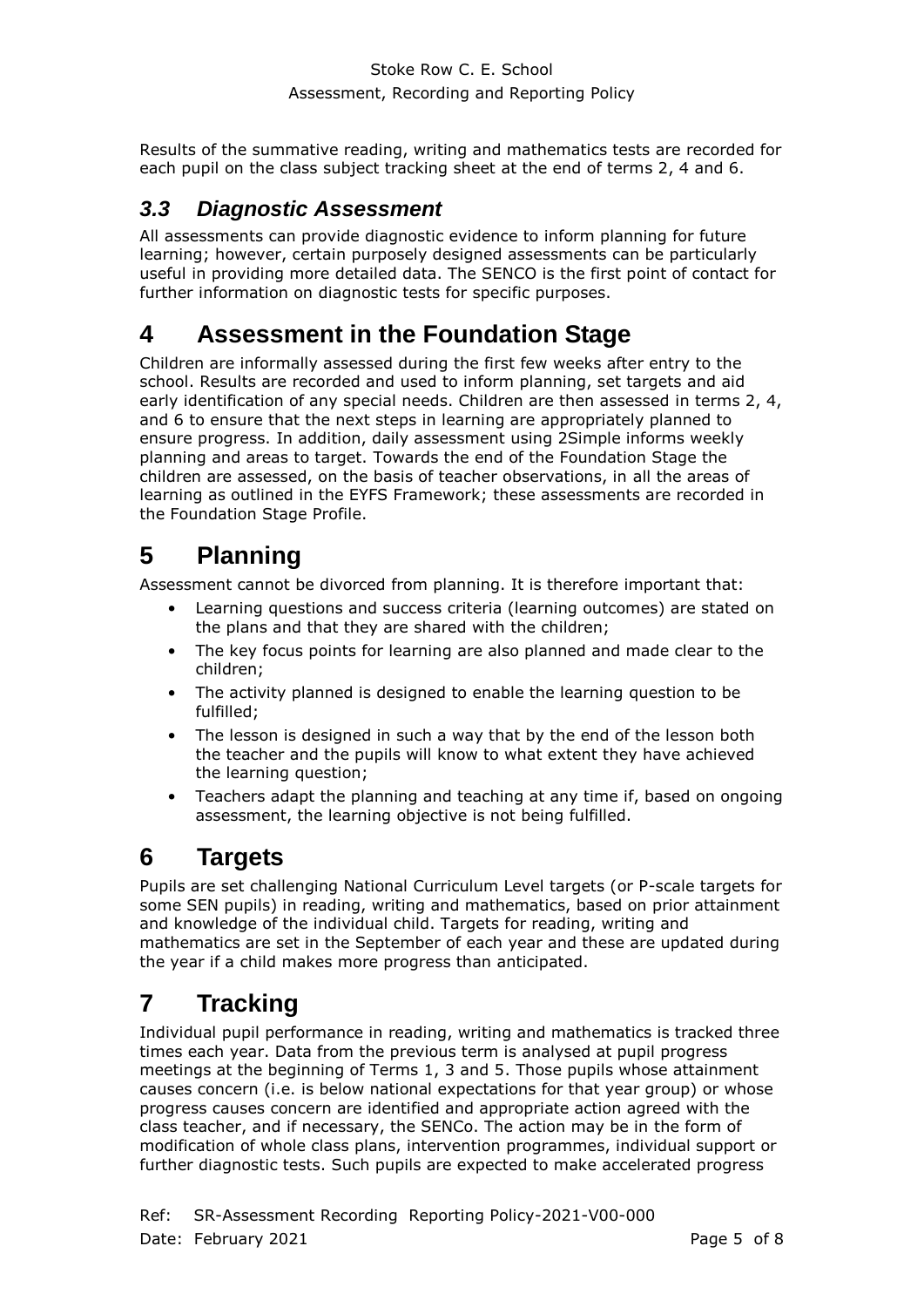Results of the summative reading, writing and mathematics tests are recorded for each pupil on the class subject tracking sheet at the end of terms 2, 4 and 6.

#### <span id="page-4-0"></span>*3.3 Diagnostic Assessment*

All assessments can provide diagnostic evidence to inform planning for future learning; however, certain purposely designed assessments can be particularly useful in providing more detailed data. The SENCO is the first point of contact for further information on diagnostic tests for specific purposes.

#### <span id="page-4-1"></span>**4 Assessment in the Foundation Stage**

Children are informally assessed during the first few weeks after entry to the school. Results are recorded and used to inform planning, set targets and aid early identification of any special needs. Children are then assessed in terms 2, 4, and 6 to ensure that the next steps in learning are appropriately planned to ensure progress. In addition, daily assessment using 2Simple informs weekly planning and areas to target. Towards the end of the Foundation Stage the children are assessed, on the basis of teacher observations, in all the areas of learning as outlined in the EYFS Framework; these assessments are recorded in the Foundation Stage Profile.

## <span id="page-4-2"></span>**5 Planning**

Assessment cannot be divorced from planning. It is therefore important that:

- Learning questions and success criteria (learning outcomes) are stated on the plans and that they are shared with the children;
- The key focus points for learning are also planned and made clear to the children;
- The activity planned is designed to enable the learning question to be fulfilled;
- The lesson is designed in such a way that by the end of the lesson both the teacher and the pupils will know to what extent they have achieved the learning question;
- Teachers adapt the planning and teaching at any time if, based on ongoing assessment, the learning objective is not being fulfilled.

## <span id="page-4-3"></span>**6 Targets**

Pupils are set challenging National Curriculum Level targets (or P-scale targets for some SEN pupils) in reading, writing and mathematics, based on prior attainment and knowledge of the individual child. Targets for reading, writing and mathematics are set in the September of each year and these are updated during the year if a child makes more progress than anticipated.

## <span id="page-4-4"></span>**7 Tracking**

Individual pupil performance in reading, writing and mathematics is tracked three times each year. Data from the previous term is analysed at pupil progress meetings at the beginning of Terms 1, 3 and 5. Those pupils whose attainment causes concern (i.e. is below national expectations for that year group) or whose progress causes concern are identified and appropriate action agreed with the class teacher, and if necessary, the SENCo. The action may be in the form of modification of whole class plans, intervention programmes, individual support or further diagnostic tests. Such pupils are expected to make accelerated progress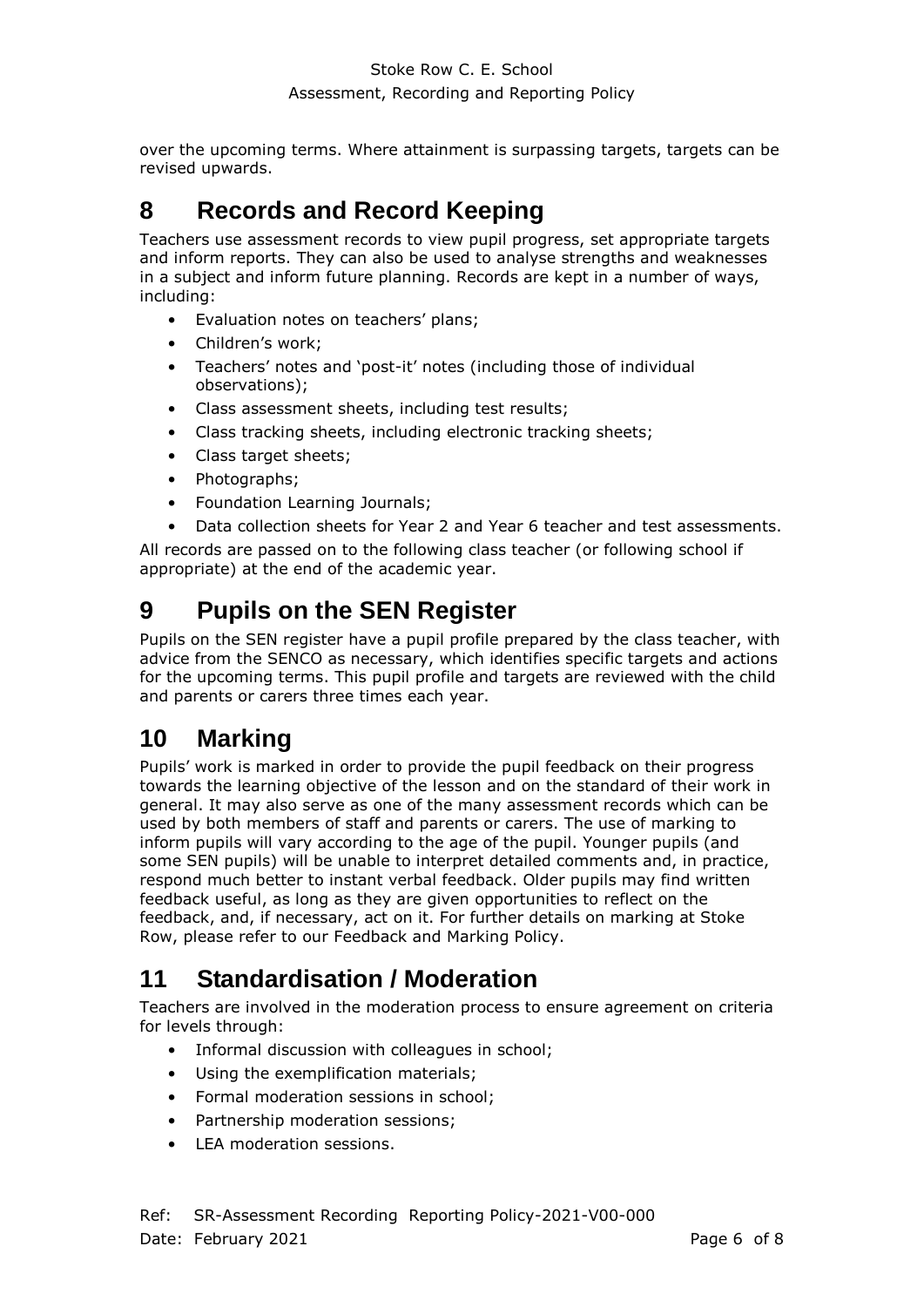over the upcoming terms. Where attainment is surpassing targets, targets can be revised upwards.

## <span id="page-5-0"></span>**8 Records and Record Keeping**

Teachers use assessment records to view pupil progress, set appropriate targets and inform reports. They can also be used to analyse strengths and weaknesses in a subject and inform future planning. Records are kept in a number of ways, including:

- Evaluation notes on teachers' plans;
- Children's work;
- Teachers' notes and 'post-it' notes (including those of individual observations);
- Class assessment sheets, including test results;
- Class tracking sheets, including electronic tracking sheets;
- Class target sheets;
- Photographs;
- Foundation Learning Journals;
- Data collection sheets for Year 2 and Year 6 teacher and test assessments.

All records are passed on to the following class teacher (or following school if appropriate) at the end of the academic year.

#### <span id="page-5-1"></span>**9 Pupils on the SEN Register**

Pupils on the SEN register have a pupil profile prepared by the class teacher, with advice from the SENCO as necessary, which identifies specific targets and actions for the upcoming terms. This pupil profile and targets are reviewed with the child and parents or carers three times each year.

#### <span id="page-5-2"></span>**10 Marking**

Pupils' work is marked in order to provide the pupil feedback on their progress towards the learning objective of the lesson and on the standard of their work in general. It may also serve as one of the many assessment records which can be used by both members of staff and parents or carers. The use of marking to inform pupils will vary according to the age of the pupil. Younger pupils (and some SEN pupils) will be unable to interpret detailed comments and, in practice, respond much better to instant verbal feedback. Older pupils may find written feedback useful, as long as they are given opportunities to reflect on the feedback, and, if necessary, act on it. For further details on marking at Stoke Row, please refer to our Feedback and Marking Policy.

#### <span id="page-5-3"></span>**11 Standardisation / Moderation**

Teachers are involved in the moderation process to ensure agreement on criteria for levels through:

- Informal discussion with colleagues in school;
- Using the exemplification materials;
- Formal moderation sessions in school;
- Partnership moderation sessions;
- LEA moderation sessions.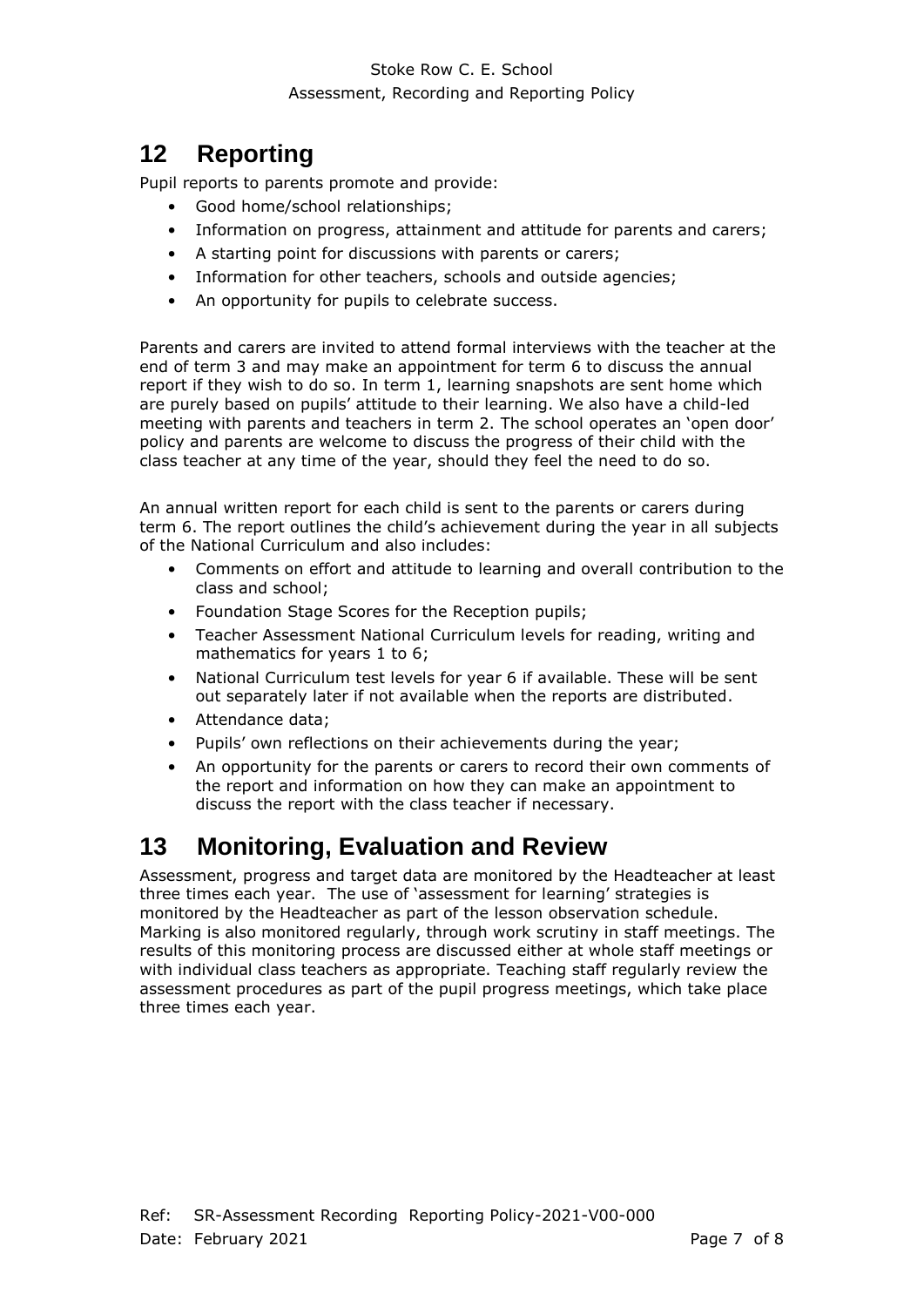## <span id="page-6-0"></span>**12 Reporting**

Pupil reports to parents promote and provide:

- Good home/school relationships;
- Information on progress, attainment and attitude for parents and carers;
- A starting point for discussions with parents or carers;
- Information for other teachers, schools and outside agencies;
- An opportunity for pupils to celebrate success.

Parents and carers are invited to attend formal interviews with the teacher at the end of term 3 and may make an appointment for term 6 to discuss the annual report if they wish to do so. In term 1, learning snapshots are sent home which are purely based on pupils' attitude to their learning. We also have a child-led meeting with parents and teachers in term 2. The school operates an 'open door' policy and parents are welcome to discuss the progress of their child with the class teacher at any time of the year, should they feel the need to do so.

An annual written report for each child is sent to the parents or carers during term 6. The report outlines the child's achievement during the year in all subjects of the National Curriculum and also includes:

- Comments on effort and attitude to learning and overall contribution to the class and school;
- Foundation Stage Scores for the Reception pupils;
- Teacher Assessment National Curriculum levels for reading, writing and mathematics for years 1 to 6;
- National Curriculum test levels for year 6 if available. These will be sent out separately later if not available when the reports are distributed.
- Attendance data;
- Pupils' own reflections on their achievements during the year;
- An opportunity for the parents or carers to record their own comments of the report and information on how they can make an appointment to discuss the report with the class teacher if necessary.

#### <span id="page-6-1"></span>**13 Monitoring, Evaluation and Review**

Assessment, progress and target data are monitored by the Headteacher at least three times each year. The use of 'assessment for learning' strategies is monitored by the Headteacher as part of the lesson observation schedule. Marking is also monitored regularly, through work scrutiny in staff meetings. The results of this monitoring process are discussed either at whole staff meetings or with individual class teachers as appropriate. Teaching staff regularly review the assessment procedures as part of the pupil progress meetings, which take place three times each year.